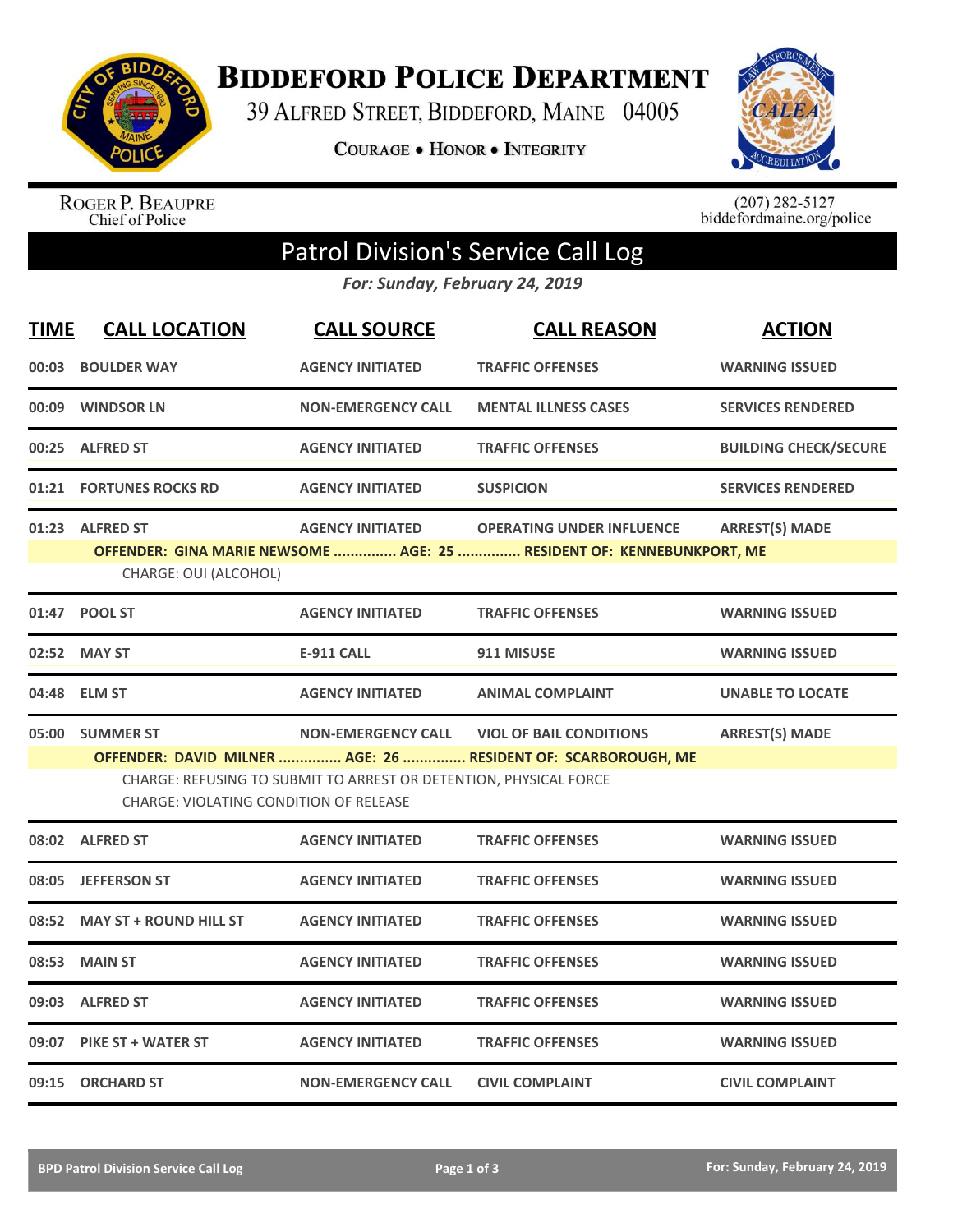

**BIDDEFORD POLICE DEPARTMENT** 

39 ALFRED STREET, BIDDEFORD, MAINE 04005

COURAGE . HONOR . INTEGRITY



ROGER P. BEAUPRE<br>Chief of Police

 $(207)$  282-5127<br>biddefordmaine.org/police

## Patrol Division's Service Call Log

*For: Sunday, February 24, 2019*

| <b>TIME</b> | <b>CALL LOCATION</b>                                                                                                                                                                                                                                                                           | <b>CALL SOURCE</b>        | <b>CALL REASON</b>                                                                                        | <b>ACTION</b>                |  |  |
|-------------|------------------------------------------------------------------------------------------------------------------------------------------------------------------------------------------------------------------------------------------------------------------------------------------------|---------------------------|-----------------------------------------------------------------------------------------------------------|------------------------------|--|--|
| 00:03       | <b>BOULDER WAY</b>                                                                                                                                                                                                                                                                             | <b>AGENCY INITIATED</b>   | <b>TRAFFIC OFFENSES</b>                                                                                   | <b>WARNING ISSUED</b>        |  |  |
| 00:09       | <b>WINDSOR LN</b>                                                                                                                                                                                                                                                                              | <b>NON-EMERGENCY CALL</b> | <b>MENTAL ILLNESS CASES</b>                                                                               | <b>SERVICES RENDERED</b>     |  |  |
| 00:25       | <b>ALFRED ST</b>                                                                                                                                                                                                                                                                               | <b>AGENCY INITIATED</b>   | <b>TRAFFIC OFFENSES</b>                                                                                   | <b>BUILDING CHECK/SECURE</b> |  |  |
| 01:21       | <b>FORTUNES ROCKS RD</b>                                                                                                                                                                                                                                                                       | <b>AGENCY INITIATED</b>   | <b>SUSPICION</b>                                                                                          | <b>SERVICES RENDERED</b>     |  |  |
|             | 01:23 ALFRED ST<br>CHARGE: OUI (ALCOHOL)                                                                                                                                                                                                                                                       | <b>AGENCY INITIATED</b>   | <b>OPERATING UNDER INFLUENCE</b><br>OFFENDER: GINA MARIE NEWSOME  AGE: 25  RESIDENT OF: KENNEBUNKPORT, ME | <b>ARREST(S) MADE</b>        |  |  |
| 01:47       | <b>POOL ST</b>                                                                                                                                                                                                                                                                                 | <b>AGENCY INITIATED</b>   | <b>TRAFFIC OFFENSES</b>                                                                                   | <b>WARNING ISSUED</b>        |  |  |
| 02:52       | <b>MAY ST</b>                                                                                                                                                                                                                                                                                  | <b>E-911 CALL</b>         | 911 MISUSE                                                                                                | <b>WARNING ISSUED</b>        |  |  |
| 04:48       | <b>ELM ST</b>                                                                                                                                                                                                                                                                                  | <b>AGENCY INITIATED</b>   | <b>ANIMAL COMPLAINT</b>                                                                                   | <b>UNABLE TO LOCATE</b>      |  |  |
|             | <b>ARREST(S) MADE</b><br>05:00 SUMMER ST<br><b>NON-EMERGENCY CALL</b><br><b>VIOL OF BAIL CONDITIONS</b><br>OFFENDER: DAVID MILNER  AGE: 26  RESIDENT OF: SCARBOROUGH, ME<br>CHARGE: REFUSING TO SUBMIT TO ARREST OR DETENTION, PHYSICAL FORCE<br><b>CHARGE: VIOLATING CONDITION OF RELEASE</b> |                           |                                                                                                           |                              |  |  |
|             | 08:02 ALFRED ST                                                                                                                                                                                                                                                                                | <b>AGENCY INITIATED</b>   | <b>TRAFFIC OFFENSES</b>                                                                                   | <b>WARNING ISSUED</b>        |  |  |
| 08:05       | <b>JEFFERSON ST</b>                                                                                                                                                                                                                                                                            | <b>AGENCY INITIATED</b>   | <b>TRAFFIC OFFENSES</b>                                                                                   | <b>WARNING ISSUED</b>        |  |  |
| 08:52       |                                                                                                                                                                                                                                                                                                |                           |                                                                                                           |                              |  |  |
|             | <b>MAY ST + ROUND HILL ST</b>                                                                                                                                                                                                                                                                  | <b>AGENCY INITIATED</b>   | <b>TRAFFIC OFFENSES</b>                                                                                   | <b>WARNING ISSUED</b>        |  |  |
| 08:53       | <b>MAIN ST</b>                                                                                                                                                                                                                                                                                 | <b>AGENCY INITIATED</b>   | <b>TRAFFIC OFFENSES</b>                                                                                   | <b>WARNING ISSUED</b>        |  |  |
| 09:03       | <b>ALFRED ST</b>                                                                                                                                                                                                                                                                               | <b>AGENCY INITIATED</b>   | <b>TRAFFIC OFFENSES</b>                                                                                   | <b>WARNING ISSUED</b>        |  |  |
| 09:07       | <b>PIKE ST + WATER ST</b>                                                                                                                                                                                                                                                                      | <b>AGENCY INITIATED</b>   | <b>TRAFFIC OFFENSES</b>                                                                                   | <b>WARNING ISSUED</b>        |  |  |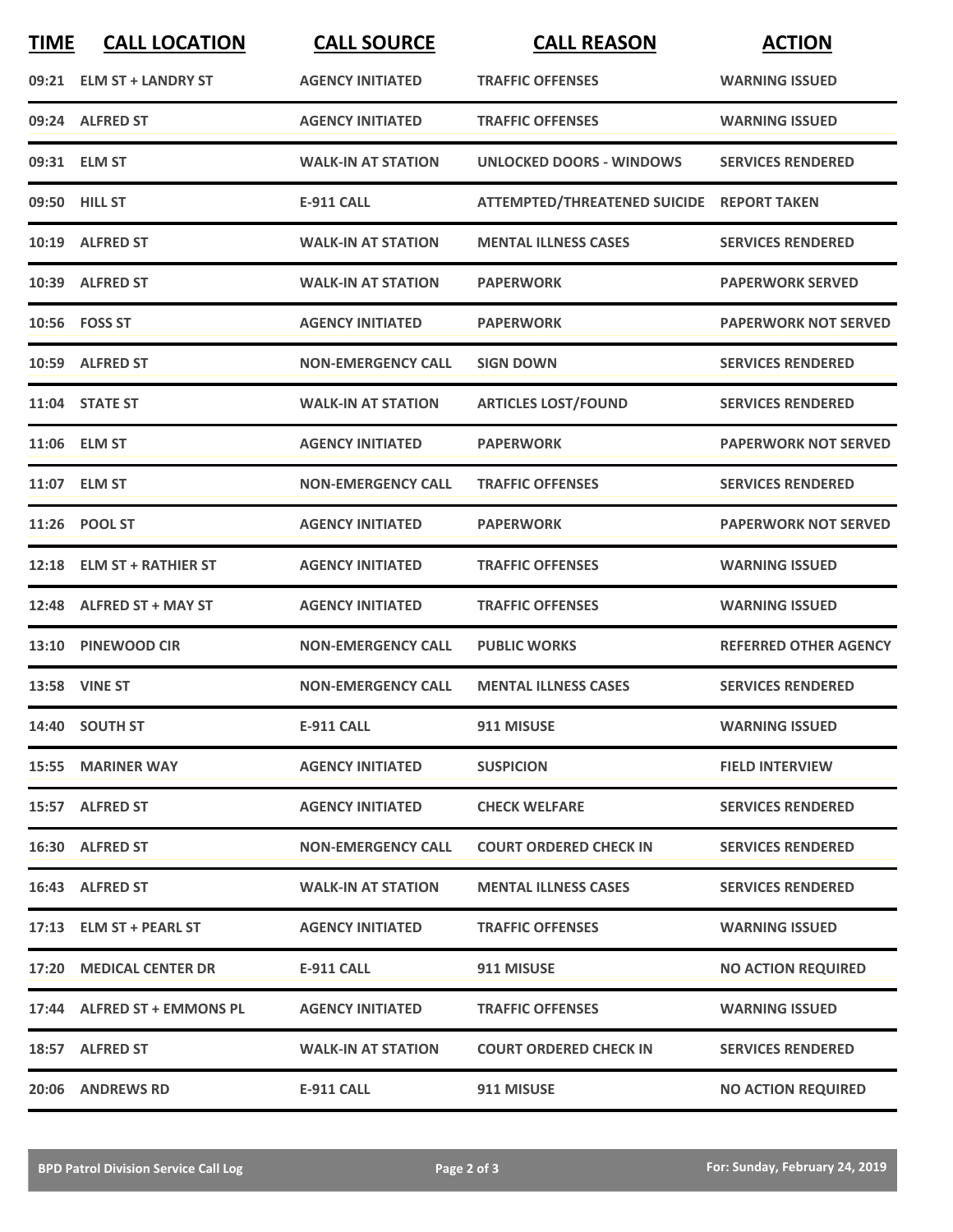| <b>TIME</b> | <b>CALL LOCATION</b>        | <b>CALL SOURCE</b>        | <b>CALL REASON</b>                        | <b>ACTION</b>                |
|-------------|-----------------------------|---------------------------|-------------------------------------------|------------------------------|
|             | 09:21 ELM ST + LANDRY ST    | <b>AGENCY INITIATED</b>   | <b>TRAFFIC OFFENSES</b>                   | <b>WARNING ISSUED</b>        |
|             | 09:24 ALFRED ST             | <b>AGENCY INITIATED</b>   | <b>TRAFFIC OFFENSES</b>                   | <b>WARNING ISSUED</b>        |
|             | 09:31 ELM ST                | <b>WALK-IN AT STATION</b> | <b>UNLOCKED DOORS - WINDOWS</b>           | <b>SERVICES RENDERED</b>     |
|             | 09:50 HILL ST               | <b>E-911 CALL</b>         | ATTEMPTED/THREATENED SUICIDE REPORT TAKEN |                              |
|             | 10:19 ALFRED ST             | <b>WALK-IN AT STATION</b> | <b>MENTAL ILLNESS CASES</b>               | <b>SERVICES RENDERED</b>     |
|             | 10:39 ALFRED ST             | <b>WALK-IN AT STATION</b> | <b>PAPERWORK</b>                          | <b>PAPERWORK SERVED</b>      |
|             | 10:56 FOSS ST               | <b>AGENCY INITIATED</b>   | <b>PAPERWORK</b>                          | <b>PAPERWORK NOT SERVED</b>  |
|             | 10:59 ALFRED ST             | <b>NON-EMERGENCY CALL</b> | <b>SIGN DOWN</b>                          | <b>SERVICES RENDERED</b>     |
|             | 11:04 STATE ST              | <b>WALK-IN AT STATION</b> | <b>ARTICLES LOST/FOUND</b>                | <b>SERVICES RENDERED</b>     |
|             | 11:06 ELM ST                | <b>AGENCY INITIATED</b>   | <b>PAPERWORK</b>                          | <b>PAPERWORK NOT SERVED</b>  |
|             | 11:07 ELM ST                | <b>NON-EMERGENCY CALL</b> | <b>TRAFFIC OFFENSES</b>                   | <b>SERVICES RENDERED</b>     |
|             | 11:26 POOL ST               | <b>AGENCY INITIATED</b>   | <b>PAPERWORK</b>                          | <b>PAPERWORK NOT SERVED</b>  |
| 12:18       | <b>ELM ST + RATHIER ST</b>  | <b>AGENCY INITIATED</b>   | <b>TRAFFIC OFFENSES</b>                   | <b>WARNING ISSUED</b>        |
|             | 12:48 ALFRED ST + MAY ST    | <b>AGENCY INITIATED</b>   | <b>TRAFFIC OFFENSES</b>                   | <b>WARNING ISSUED</b>        |
|             | 13:10 PINEWOOD CIR          | <b>NON-EMERGENCY CALL</b> | <b>PUBLIC WORKS</b>                       | <b>REFERRED OTHER AGENCY</b> |
|             | 13:58 VINE ST               | <b>NON-EMERGENCY CALL</b> | <b>MENTAL ILLNESS CASES</b>               | <b>SERVICES RENDERED</b>     |
|             | 14:40 SOUTH ST              | <b>E-911 CALL</b>         | 911 MISUSE                                | <b>WARNING ISSUED</b>        |
|             | <b>15:55 MARINER WAY</b>    | <b>AGENCY INITIATED</b>   | <b>SUSPICION</b>                          | <b>FIELD INTERVIEW</b>       |
|             | 15:57 ALFRED ST             | <b>AGENCY INITIATED</b>   | <b>CHECK WELFARE</b>                      | <b>SERVICES RENDERED</b>     |
|             | 16:30 ALFRED ST             | <b>NON-EMERGENCY CALL</b> | <b>COURT ORDERED CHECK IN</b>             | <b>SERVICES RENDERED</b>     |
|             | 16:43 ALFRED ST             | <b>WALK-IN AT STATION</b> | <b>MENTAL ILLNESS CASES</b>               | <b>SERVICES RENDERED</b>     |
|             | 17:13 ELM ST + PEARL ST     | <b>AGENCY INITIATED</b>   | <b>TRAFFIC OFFENSES</b>                   | <b>WARNING ISSUED</b>        |
|             | 17:20 MEDICAL CENTER DR     | E-911 CALL                | 911 MISUSE                                | <b>NO ACTION REQUIRED</b>    |
|             | 17:44 ALFRED ST + EMMONS PL | <b>AGENCY INITIATED</b>   | <b>TRAFFIC OFFENSES</b>                   | <b>WARNING ISSUED</b>        |
|             | 18:57 ALFRED ST             | <b>WALK-IN AT STATION</b> | <b>COURT ORDERED CHECK IN</b>             | <b>SERVICES RENDERED</b>     |
|             | 20:06 ANDREWS RD            | <b>E-911 CALL</b>         | 911 MISUSE                                | <b>NO ACTION REQUIRED</b>    |